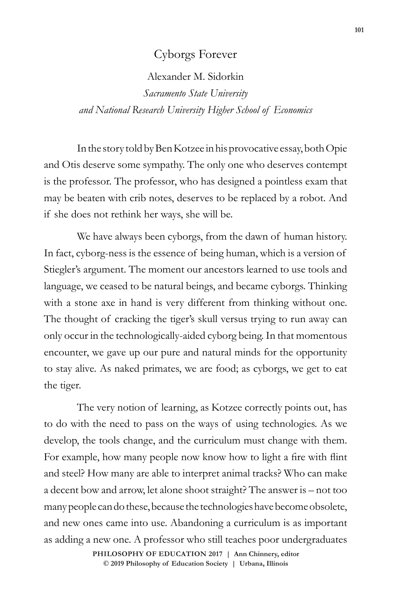## Cyborgs Forever

Alexander M. Sidorkin

*Sacramento State University and National Research University Higher School of Economics*

In the story told by Ben Kotzee in his provocative essay, both Opie and Otis deserve some sympathy. The only one who deserves contempt is the professor. The professor, who has designed a pointless exam that may be beaten with crib notes, deserves to be replaced by a robot. And if she does not rethink her ways, she will be.

We have always been cyborgs, from the dawn of human history. In fact, cyborg-ness is the essence of being human, which is a version of Stiegler's argument. The moment our ancestors learned to use tools and language, we ceased to be natural beings, and became cyborgs. Thinking with a stone axe in hand is very different from thinking without one. The thought of cracking the tiger's skull versus trying to run away can only occur in the technologically-aided cyborg being. In that momentous encounter, we gave up our pure and natural minds for the opportunity to stay alive. As naked primates, we are food; as cyborgs, we get to eat the tiger.

The very notion of learning, as Kotzee correctly points out, has to do with the need to pass on the ways of using technologies. As we develop, the tools change, and the curriculum must change with them. For example, how many people now know how to light a fire with flint and steel? How many are able to interpret animal tracks? Who can make a decent bow and arrow, let alone shoot straight? The answer is – not too many people can do these, because the technologies have become obsolete, and new ones came into use. Abandoning a curriculum is as important as adding a new one. A professor who still teaches poor undergraduates

> **doi: 10.47925/73.101 PHILOSOPHY OF EDUCATION 2017 | Ann Chinnery, editor © 2019 Philosophy of Education Society | Urbana, Illinois**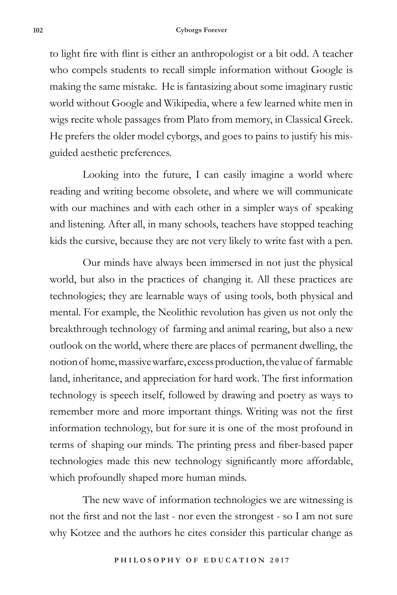## **102 Cyborgs Forever**

to light fire with flint is either an anthropologist or a bit odd. A teacher who compels students to recall simple information without Google is making the same mistake. He is fantasizing about some imaginary rustic world without Google and Wikipedia, where a few learned white men in wigs recite whole passages from Plato from memory, in Classical Greek. He prefers the older model cyborgs, and goes to pains to justify his misguided aesthetic preferences.

Looking into the future, I can easily imagine a world where reading and writing become obsolete, and where we will communicate with our machines and with each other in a simpler ways of speaking and listening. After all, in many schools, teachers have stopped teaching kids the cursive, because they are not very likely to write fast with a pen.

Our minds have always been immersed in not just the physical world, but also in the practices of changing it. All these practices are technologies; they are learnable ways of using tools, both physical and mental. For example, the Neolithic revolution has given us not only the breakthrough technology of farming and animal rearing, but also a new outlook on the world, where there are places of permanent dwelling, the notion of home, massive warfare, excess production, the value of farmable land, inheritance, and appreciation for hard work. The first information technology is speech itself, followed by drawing and poetry as ways to remember more and more important things. Writing was not the first information technology, but for sure it is one of the most profound in terms of shaping our minds. The printing press and fiber-based paper technologies made this new technology significantly more affordable, which profoundly shaped more human minds.

The new wave of information technologies we are witnessing is not the first and not the last - nor even the strongest - so I am not sure why Kotzee and the authors he cites consider this particular change as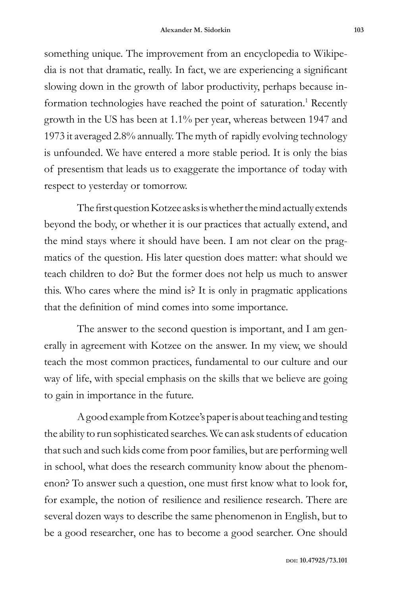something unique. The improvement from an encyclopedia to Wikipedia is not that dramatic, really. In fact, we are experiencing a significant slowing down in the growth of labor productivity, perhaps because information technologies have reached the point of saturation.<sup>1</sup> Recently growth in the US has been at 1.1% per year, whereas between 1947 and 1973 it averaged 2.8% annually. The myth of rapidly evolving technology is unfounded. We have entered a more stable period. It is only the bias of presentism that leads us to exaggerate the importance of today with respect to yesterday or tomorrow.

The first question Kotzee asks is whether the mind actually extends beyond the body, or whether it is our practices that actually extend, and the mind stays where it should have been. I am not clear on the pragmatics of the question. His later question does matter: what should we teach children to do? But the former does not help us much to answer this. Who cares where the mind is? It is only in pragmatic applications that the definition of mind comes into some importance.

The answer to the second question is important, and I am generally in agreement with Kotzee on the answer. In my view, we should teach the most common practices, fundamental to our culture and our way of life, with special emphasis on the skills that we believe are going to gain in importance in the future.

A good example from Kotzee's paper is about teaching and testing the ability to run sophisticated searches. We can ask students of education that such and such kids come from poor families, but are performing well in school, what does the research community know about the phenomenon? To answer such a question, one must first know what to look for, for example, the notion of resilience and resilience research. There are several dozen ways to describe the same phenomenon in English, but to be a good researcher, one has to become a good searcher. One should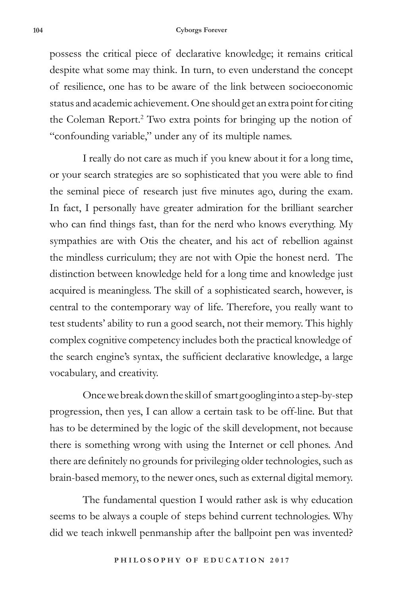## **104 Cyborgs Forever**

possess the critical piece of declarative knowledge; it remains critical despite what some may think. In turn, to even understand the concept of resilience, one has to be aware of the link between socioeconomic status and academic achievement. One should get an extra point for citing the Coleman Report.<sup>2</sup> Two extra points for bringing up the notion of "confounding variable," under any of its multiple names.

I really do not care as much if you knew about it for a long time, or your search strategies are so sophisticated that you were able to find the seminal piece of research just five minutes ago, during the exam. In fact, I personally have greater admiration for the brilliant searcher who can find things fast, than for the nerd who knows everything. My sympathies are with Otis the cheater, and his act of rebellion against the mindless curriculum; they are not with Opie the honest nerd. The distinction between knowledge held for a long time and knowledge just acquired is meaningless. The skill of a sophisticated search, however, is central to the contemporary way of life. Therefore, you really want to test students' ability to run a good search, not their memory. This highly complex cognitive competency includes both the practical knowledge of the search engine's syntax, the sufficient declarative knowledge, a large vocabulary, and creativity.

Once we break down the skill of smart googling into a step-by-step progression, then yes, I can allow a certain task to be off-line. But that has to be determined by the logic of the skill development, not because there is something wrong with using the Internet or cell phones. And there are definitely no grounds for privileging older technologies, such as brain-based memory, to the newer ones, such as external digital memory.

The fundamental question I would rather ask is why education seems to be always a couple of steps behind current technologies. Why did we teach inkwell penmanship after the ballpoint pen was invented?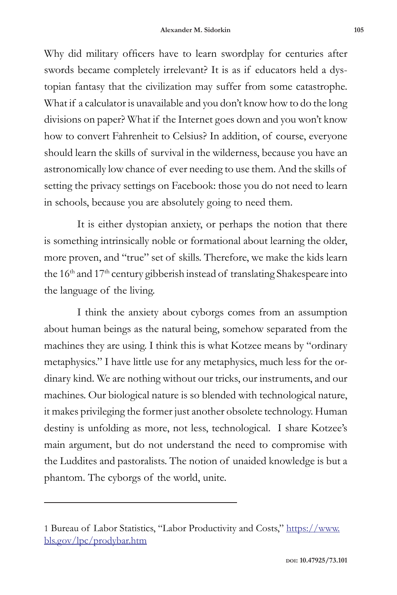Why did military officers have to learn swordplay for centuries after swords became completely irrelevant? It is as if educators held a dystopian fantasy that the civilization may suffer from some catastrophe. What if a calculator is unavailable and you don't know how to do the long divisions on paper? What if the Internet goes down and you won't know how to convert Fahrenheit to Celsius? In addition, of course, everyone should learn the skills of survival in the wilderness, because you have an astronomically low chance of ever needing to use them. And the skills of setting the privacy settings on Facebook: those you do not need to learn in schools, because you are absolutely going to need them.

It is either dystopian anxiety, or perhaps the notion that there is something intrinsically noble or formational about learning the older, more proven, and "true" set of skills. Therefore, we make the kids learn the  $16<sup>th</sup>$  and  $17<sup>th</sup>$  century gibberish instead of translating Shakespeare into the language of the living.

I think the anxiety about cyborgs comes from an assumption about human beings as the natural being, somehow separated from the machines they are using. I think this is what Kotzee means by "ordinary metaphysics." I have little use for any metaphysics, much less for the ordinary kind. We are nothing without our tricks, our instruments, and our machines. Our biological nature is so blended with technological nature, it makes privileging the former just another obsolete technology. Human destiny is unfolding as more, not less, technological. I share Kotzee's main argument, but do not understand the need to compromise with the Luddites and pastoralists. The notion of unaided knowledge is but a phantom. The cyborgs of the world, unite.

<sup>1</sup> Bureau of Labor Statistics, "Labor Productivity and Costs," https://www. bls.gov/lpc/prodybar.htm